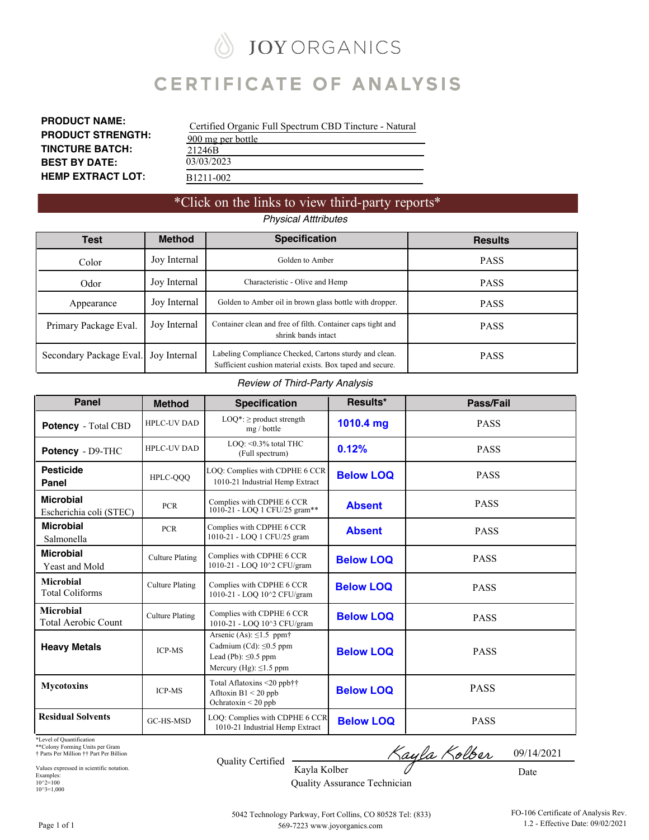# **JOY ORGANICS**

# **CERTIFICATE OF ANALYSIS**

**PRODUCT NAME: PRODUCT STRENGTH: TINCTURE BATCH: BEST BY DATE: HEMP EXTRACT LOT:**

| Certified Organic Full Spectrum CBD Tincture - Natural |
|--------------------------------------------------------|
| 900 mg per bottle                                      |
| 21246B                                                 |
| 03/03/2023                                             |
| B1211-002                                              |

### \*Click on the links to view third-party reports\*

*Physical Atttributes*

| <b>Test</b>             | <b>Method</b>                                                                                      | <b>Specification</b>                                                                                                | <b>Results</b> |
|-------------------------|----------------------------------------------------------------------------------------------------|---------------------------------------------------------------------------------------------------------------------|----------------|
| Color                   | Joy Internal                                                                                       | Golden to Amber                                                                                                     | <b>PASS</b>    |
| Odor                    | Joy Internal                                                                                       | Characteristic - Olive and Hemp                                                                                     | <b>PASS</b>    |
| Appearance              | Joy Internal                                                                                       | Golden to Amber oil in brown glass bottle with dropper.                                                             | <b>PASS</b>    |
| Primary Package Eval.   | Joy Internal<br>Container clean and free of filth. Container caps tight and<br>shrink bands intact |                                                                                                                     | <b>PASS</b>    |
| Secondary Package Eval. | Jov Internal                                                                                       | Labeling Compliance Checked, Cartons sturdy and clean.<br>Sufficient cushion material exists. Box taped and secure. | <b>PASS</b>    |

#### *Review of Third-Party Analysis*

| <b>Panel</b>                                | <b>Method</b>          | <b>Specification</b>                                                                                                                   | Results*         | Pass/Fail   |
|---------------------------------------------|------------------------|----------------------------------------------------------------------------------------------------------------------------------------|------------------|-------------|
| <b>Potency</b> - Total CBD                  | <b>HPLC-UV DAD</b>     | $LOQ^*$ : $\geq$ product strength<br>mg / bottle                                                                                       | 1010.4 mg        | <b>PASS</b> |
| Potency - D9-THC                            | <b>HPLC-UV DAD</b>     | LOQ: <0.3% total THC<br>(Full spectrum)                                                                                                | 0.12%            | <b>PASS</b> |
| <b>Pesticide</b><br>Panel                   | HPLC-QQQ               | LOQ: Complies with CDPHE 6 CCR<br>1010-21 Industrial Hemp Extract                                                                      | <b>Below LOQ</b> | <b>PASS</b> |
| <b>Microbial</b><br>Escherichia coli (STEC) | <b>PCR</b>             | Complies with CDPHE 6 CCR<br>1010-21 - LOQ 1 CFU/25 gram**                                                                             | <b>Absent</b>    | <b>PASS</b> |
| <b>Microbial</b><br>Salmonella              | <b>PCR</b>             | Complies with CDPHE 6 CCR<br>1010-21 - LOQ 1 CFU/25 gram                                                                               | <b>Absent</b>    | <b>PASS</b> |
| <b>Microbial</b><br>Yeast and Mold          | <b>Culture Plating</b> | Complies with CDPHE 6 CCR<br>1010-21 - LOQ 10^2 CFU/gram                                                                               | <b>Below LOQ</b> | <b>PASS</b> |
| <b>Microbial</b><br><b>Total Coliforms</b>  | <b>Culture Plating</b> | Complies with CDPHE 6 CCR<br>1010-21 - LOQ 10^2 CFU/gram                                                                               | <b>Below LOO</b> | <b>PASS</b> |
| <b>Microbial</b><br>Total Aerobic Count     | <b>Culture Plating</b> | Complies with CDPHE 6 CCR<br>1010-21 - LOQ 10^3 CFU/gram                                                                               | <b>Below LOQ</b> | <b>PASS</b> |
| <b>Heavy Metals</b>                         | <b>ICP-MS</b>          | Arsenic (As): $\leq$ 1.5 ppm <sup>+</sup><br>Cadmium (Cd): $\leq 0.5$ ppm<br>Lead (Pb): $\leq 0.5$ ppm<br>Mercury (Hg): $\leq$ 1.5 ppm | <b>Below LOQ</b> | <b>PASS</b> |
| <b>Mycotoxins</b>                           | <b>ICP-MS</b>          | Total Aflatoxins <20 ppb††<br>Afltoxin B1 < 20 ppb<br>Ochratoxin < 20 ppb                                                              | <b>Below LOQ</b> | <b>PASS</b> |
| <b>Residual Solvents</b>                    | GC-HS-MSD              | LOQ: Complies with CDPHE 6 CCR<br>1010-21 Industrial Hemp Extract                                                                      | <b>Below LOQ</b> | <b>PASS</b> |

\*Level of Quantification

\*\*Colony Forming Units per Gram † Parts Per Million †† Part Per Billion

Values expressed in scientific notation. Examples: 10^2=100  $10^{\circ}3=1,000$ 

Quality Certified

<u>Kayla Kolber</u> 09/14/2021

Date

Kayla Kolber Quality Assurance Technician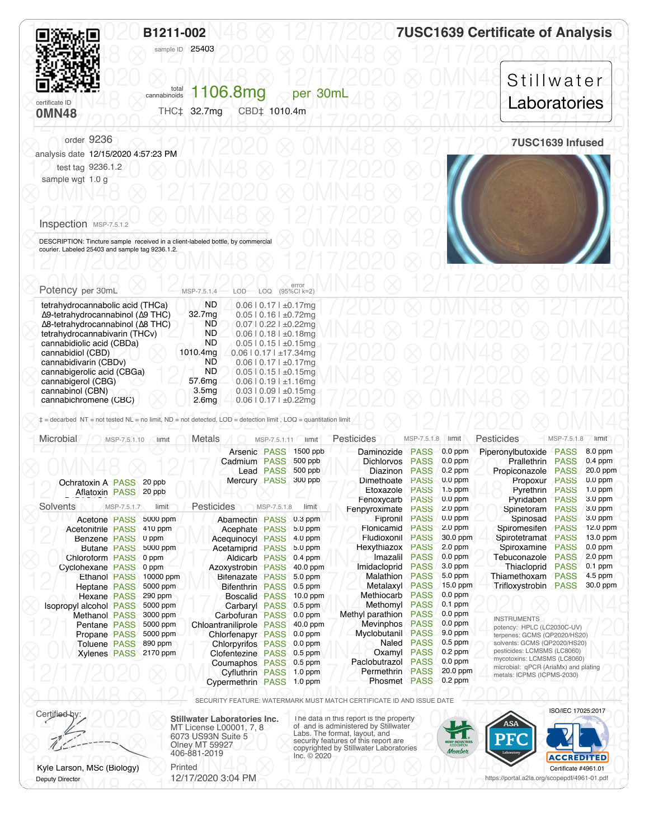<span id="page-1-0"></span>

|                                                                                                                      | B1211-002<br>sample ID 25403                                                                                                         | <b>7USC1639 Certificate of Analysis</b> |  |  |
|----------------------------------------------------------------------------------------------------------------------|--------------------------------------------------------------------------------------------------------------------------------------|-----------------------------------------|--|--|
| certificate ID<br><b>OMN48</b>                                                                                       | 1106.8mg<br>total<br>cannabinoids<br>per <sub>30mL</sub><br>CBD‡ 1010.4m<br>THC‡ 32.7mg                                              | Stillwater<br>Laboratories              |  |  |
| order 9236<br>analysis date 12/15/2020 4:57:23 PM<br>test tag 9236.1.2<br>sample wgt 1.0 g<br>Inspection MSP-7.5.1.2 |                                                                                                                                      | 7USC1639 Infused                        |  |  |
| courier. Labeled 25403 and sample tag 9236.1.2.<br>Potency per 30mL                                                  | DESCRIPTION: Tincture sample received in a client-labeled bottle, by commercial<br>error<br>(95%Cl k=2)<br>LOQ<br>MSP-7.5.1.4<br>LOD |                                         |  |  |
| tetrahydrocannabolic acid (THCa)<br>Δ9-tetrahydrocannabinol (Δ9 THC)                                                 | <b>ND</b><br>$0.06$   $0.17$   $\pm 0.17$ mg<br>32.7mg<br>$0.05$   0.16   $\pm 0.72$ mg                                              |                                         |  |  |

 $\otimes$  A8-tetrahydrocannabinol (A8 THC)<br>
etrahydrocannabivarin (THCv)  $\otimes$  1 ND 0.0610.18 L±0.18mg<br>
cannabidiolic acid (CBDa)<br>
ND 0.0610.151+0.15mg

 $\frac{1}{\text{canonical (CBD)}}$ <br>
cannabidivarin (CBDy)<br>
ND 0.0610.171±17.34mg<br>
ND 0.0610.171±0.17mg<br>  $\frac{1}{2}$  (2020 ⊗ 0MN48 ⊗ 12/17/20)

 $\otimes$  cannabigerolic acid (CBGa)<br>
cannabigerol (CBG)<br>
cannabigerol (CBG)<br>
cannabigerol (CBG)

12/17/2020 ⨂ 0MN48 ⨂ 12/17/2020 ⨂ 0MN48 ⨂ 12/17/2020 cannabinol (CBN) cannabichromene (CBC) 3.5mg 2.6mg 0.03 | 0.09 | ±0.15mg 0.06 | 0.17 | ±0.22mg

ND ND ND 1010.4mg ND ND 57.6mg

0.07 | 0.22 | ±0.22mg 0.06 | 0.18 | ±0.18mg 0.05 | 0.15 | ±0.15mg 0.06 | 0.17 | ±17.34mg 0.06 | 0.17 | ±0.17mg  $0.05$  |  $0.15$  |  $\pm 0.15$  mg  $0.06$  |  $0.19$  |  $\pm$ 1.16mg

∆8-tetrahydrocannabinol (∆8 THC) tetrahydrocannabivarin (THCv) cannabidiolic acid (CBDa) cannabidiol (CBD) cannabidivarin (CBDv) cannabigerolic acid (CBGa) cannabigerol (CBG)

| Microbial                     | MSP-7.5.1.10 | limit                 | <b>Metals</b>             | MSP-7.5.1.11     | limit      | Pesticides                       | MSP-7.5.1.8 | limit     | Pesticides                                                 | MSP-7.5.1.8                  | limit      |  |
|-------------------------------|--------------|-----------------------|---------------------------|------------------|------------|----------------------------------|-------------|-----------|------------------------------------------------------------|------------------------------|------------|--|
|                               |              |                       | Arsenic PASS              |                  | 1500 ppb   | Daminozide                       | <b>PASS</b> | $0.0$ ppm | Piperonylbutoxide                                          | <b>PASS</b>                  | 8.0 ppm    |  |
|                               |              |                       | Cadmium PASS              |                  | 500 ppb    | <b>Dichlorvos</b>                | <b>PASS</b> | $0.0$ ppm | Prallethrin                                                | <b>PASS</b>                  | $0.4$ ppm  |  |
|                               |              |                       |                           | <b>Lead PASS</b> | $500$ ppb  | Diazinon                         | <b>PASS</b> | $0.2$ ppm | Propiconazole                                              | <b>PASS</b>                  | 20.0 ppm   |  |
| <b>Ochratoxin A PASS</b>      |              | 20 ppb                | Mercury PASS              |                  | 300 ppb    | Dimethoate                       | <b>PASS</b> | $0.0$ ppm | Propoxur                                                   | <b>PASS</b>                  | $0.0$ ppm  |  |
| <b>Aflatoxin PASS</b>         |              | 20 ppb                |                           |                  |            | Etoxazole                        | <b>PASS</b> | $1.5$ ppm | Pyrethrin                                                  | <b>PASS</b>                  | $1.0$ ppm  |  |
|                               |              |                       |                           |                  |            | Fenoxycarb                       | <b>PASS</b> | $0.0$ ppm | Pyridaben                                                  | <b>PASS</b>                  | 3.0 ppm    |  |
| Solvents                      | MSP-7.5.1.7  | limit                 | Pesticides                | MSP-7.5.1.8      | limit      | Fenpyroximate                    | <b>PASS</b> | $2.0$ ppm | Spinetoram                                                 | <b>PASS</b>                  | 3.0 ppm    |  |
| Acetone PASS                  |              | 5000 ppm              | Abamectin PASS            |                  | $0.3$ ppm  | Fipronil                         | <b>PASS</b> | $0.0$ ppm | Spinosad                                                   | <b>PASS</b>                  | $3.0$ ppm  |  |
| <b>Acetonitrile PASS</b>      |              | 410 ppm               | Acephate PASS             |                  | 5.0 ppm    | Flonicamid                       | <b>PASS</b> | $2.0$ ppm | Spiromesifen                                               | <b>PASS</b>                  | $12.0$ ppm |  |
| Benzene PASS                  |              | 0 ppm                 | <b>Acequinocyl PASS</b>   |                  | 4.0 ppm    | Fludioxonil                      | <b>PASS</b> | 30.0 ppm  | Spirotetramat                                              | <b>PASS</b>                  | 13.0 ppm   |  |
| <b>Butane PASS</b>            |              | 5000 ppm              | Acetamiprid PASS          |                  | 5.0 ppm    | Hexythiazox                      | <b>PASS</b> | $2.0$ ppm | Spiroxamine                                                | <b>PASS</b>                  | $0.0$ ppm  |  |
| Chloroform PASS               |              | 0 ppm                 | <b>Aldicarb PASS</b>      |                  | $0.4$ ppm  | Imazalil                         | <b>PASS</b> | $0.0$ ppm | Tebuconazole                                               | <b>PASS</b>                  | $2.0$ ppm  |  |
| Cyclohexane PASS              |              | 0 ppm                 | Azoxystrobin PASS         |                  | 40.0 ppm   | Imidacloprid                     | <b>PASS</b> | 3.0 ppm   | Thiacloprid                                                | <b>PASS</b>                  | $0.1$ ppm  |  |
| <b>Ethanol PASS</b>           |              | 10000 ppm             | <b>Bifenazate PASS</b>    |                  | $5.0$ ppm  | Malathion                        | <b>PASS</b> | $5.0$ ppm | Thiamethoxam                                               | <b>PASS</b>                  | $4.5$ ppm  |  |
| Heptane PASS                  |              | 5000 ppm              | <b>Bifenthrin PASS</b>    |                  | $0.5$ ppm  | Metalaxyl                        | <b>PASS</b> | 15.0 ppm  | Trifloxystrobin                                            | <b>PASS</b>                  | 30.0 ppm   |  |
| Hexane PASS                   |              | 290 ppm               | Boscalid PASS             |                  | $10.0$ ppm | Methiocarb                       | <b>PASS</b> | $0.0$ ppm |                                                            |                              |            |  |
| <b>Isopropyl alcohol PASS</b> |              | 5000 ppm              | Carbaryl PASS             |                  | $0.5$ ppm  | Methomyl                         | <b>PASS</b> | $0.1$ ppm |                                                            |                              |            |  |
| <b>Methanol PASS</b>          |              | 3000 ppm              | Carbofuran PASS           |                  | 0.0 ppm    | Methyl parathion                 | <b>PASS</b> | $0.0$ ppm | <b>INSTRUMENTS</b>                                         |                              |            |  |
| <b>Pentane PASS</b>           |              | 5000 ppm              | Chloantraniliprole PASS   |                  | 40.0 ppm   | Mevinphos                        | <b>PASS</b> | $0.0$ ppm |                                                            | potency: HPLC (LC2030C-UV)   |            |  |
| Propane PASS                  |              | 5000 ppm              | Chlorfenapyr PASS         |                  | $0.0$ ppm  | Myclobutanil                     | <b>PASS</b> | $9.0$ ppm | terpenes: GCMS (QP2020/HS20)                               |                              |            |  |
| <b>Toluene PASS</b>           |              | 890 ppm               | <b>Chlorpyrifos PASS</b>  |                  | $0.0$ ppm  | Naled                            | <b>PASS</b> | $0.5$ ppm |                                                            | solvents: GCMS (QP2020/HS20) |            |  |
|                               |              | Xylenes PASS 2170 ppm | Clofentezine PASS         |                  | $0.5$ ppm  | Oxamyl                           | <b>PASS</b> | $0.2$ ppm | pesticides: LCMSMS (LC8060)<br>mycotoxins: LCMSMS (LC8060) |                              |            |  |
|                               |              |                       | Coumaphos PASS            |                  | $0.5$ ppm  | Paclobutrazol                    | <b>PASS</b> | $0.0$ ppm | microbial: qPCR (AriaMx) and plating                       |                              |            |  |
|                               |              |                       | <b>Cyfluthrin PASS</b>    |                  | $1.0$ ppm  | <b>Permethrin</b>                | <b>PASS</b> | 20.0 ppm  | metals: ICPMS (ICPMS-2030)                                 |                              |            |  |
|                               |              |                       | Cypermethrin PASS 1.0 ppm |                  |            | $0.2$ ppm<br><b>Phosmet PASS</b> |             |           |                                                            |                              |            |  |

**<u>OMNAS © 12/17/2000</u>** SECURITY FEATURE: WATERMARK MUST MATCH CERTIFICATE ID AND ISSUE DATE

Certified by: **Stillwater Laboratories Inc.** MT License L00001, 7, 8 6073 US93N Suite 5 Olney MT 59927 406-881-2019

86073 US93N Suite 5<br>
Olney MT 59927<br>
406-881-2019<br>
Inc. © 2020<br>
Inc. © 2020

Certified by:<br>MT License L00001, 7, 8<br>6073 I IS93N Suite 5<br>Labs. The format, layout, and<br>Labs. The format, layout, and ISO/IEC 17025:2017

Certificate #4961.01

 $\bigcirc$  bepary Director  $\bigcap$  19/17/2020  $\bigcirc$  12/14/2020  $\bigcirc$  0.94/19/10  $\bigcirc$  10/11/10  $\bigcirc$  12/17/2010  $\bigcirc$  12/17/2010  $\bigcirc$ https://portal.a2la.org/scopepdf/4961-01.pdf

Ryle Larson, MSc (Biology)<br>
12/17/2020 3:04 PM<br>
Dentification and Biology 12/17/2020 3:04 PM Kyle Larson, MSc (Biology) **No. 18** Printed Deputy Director

12/17/2020 3:04 PM